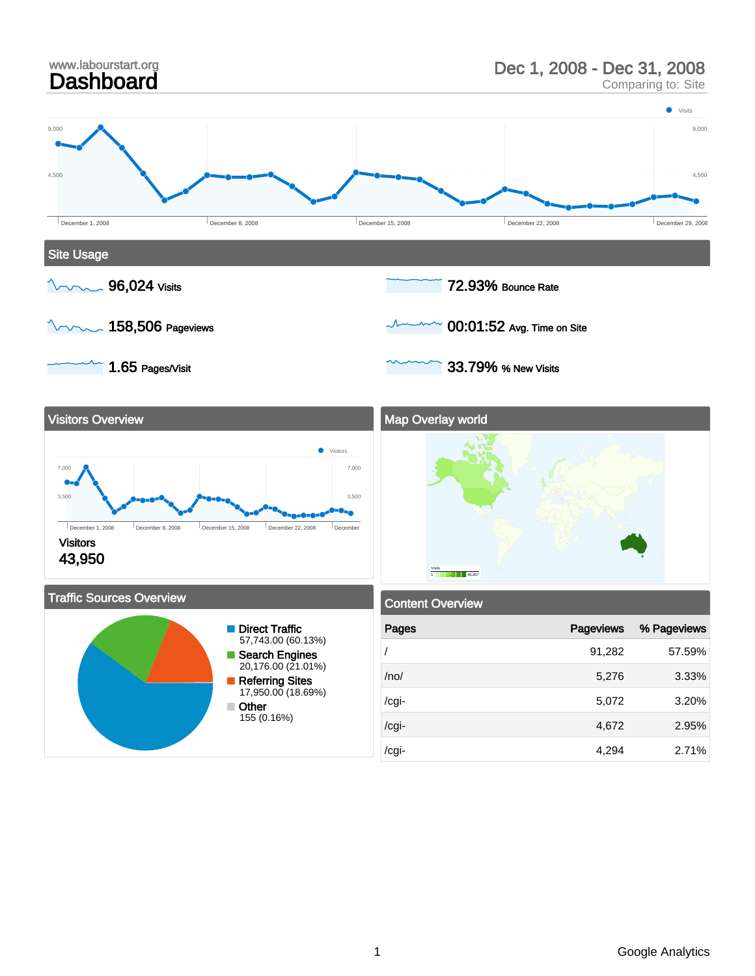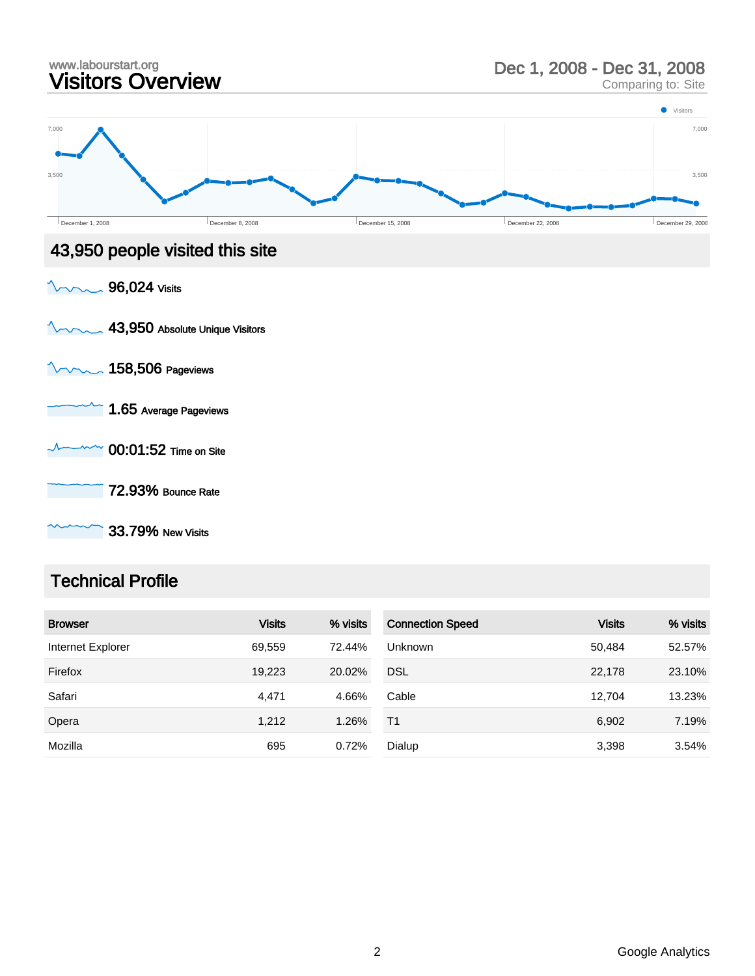

### Technical Profile

| <b>Browser</b>    | <b>Visits</b> | % visits | <b>Connection Speed</b> | <b>Visits</b> | % visits |
|-------------------|---------------|----------|-------------------------|---------------|----------|
| Internet Explorer | 69,559        | 72.44%   | Unknown                 | 50,484        | 52.57%   |
| Firefox           | 19.223        | 20.02%   | <b>DSL</b>              | 22,178        | 23.10%   |
| Safari            | 4.471         | 4.66%    | Cable                   | 12.704        | 13.23%   |
| Opera             | 1,212         | 1.26%    | T1                      | 6,902         | 7.19%    |
| Mozilla           | 695           | 0.72%    | Dialup                  | 3,398         | 3.54%    |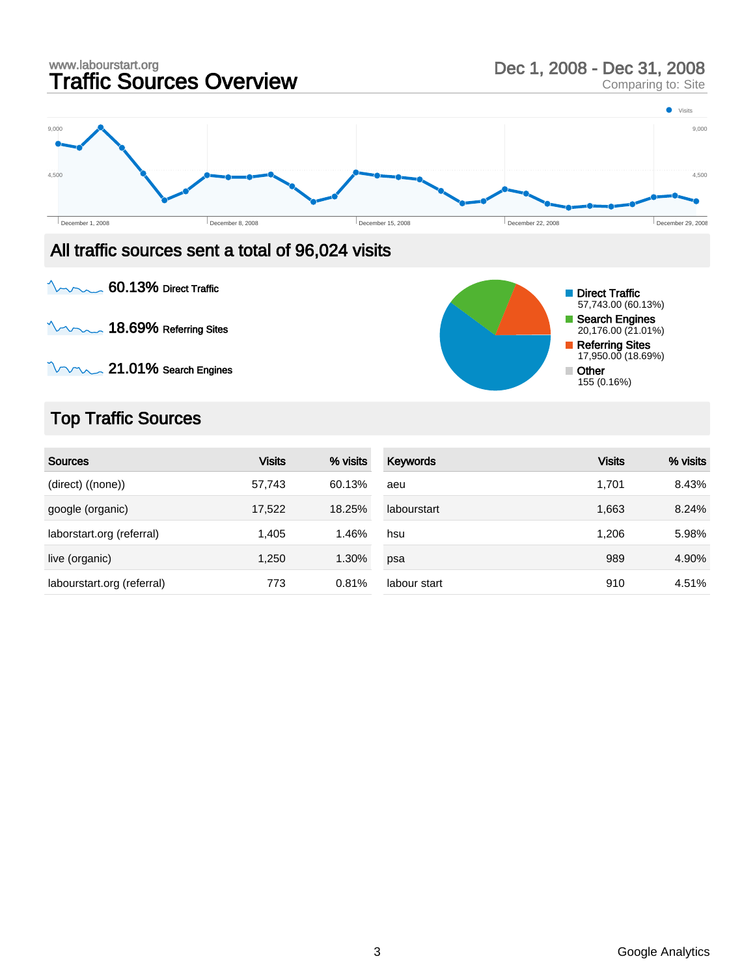### www.labourstart.org<br> **Traffic Sources Overview** Dec 1, 2008 - Dec 31, 2008<br>
Comparing to: Site Comparing to: Site **O** Visits 9,000 9,000 4,500 4,500 ó December 1, 2008 December 29, 2008 December 29, 2008 December 15, 2008 December 22, 2008 December 29, 2008 December 29, 2008 All traffic sources sent a total of 96,024 visits 60.13% Direct Traffic **Direct Traffic** 57,743.00 (60.13%) Search Engines  $\sim$  18.69% Referring Sites 20,176.00 (21.01%)

 $\sqrt{21.01\%}$  Search Engines

# Top Traffic Sources

| <b>Sources</b>             | <b>Visits</b> | % visits | Keywords     | <b>Visits</b> | % visits |
|----------------------------|---------------|----------|--------------|---------------|----------|
| (direct) ((none))          | 57,743        | 60.13%   | aeu          | 1,701         | 8.43%    |
| google (organic)           | 17,522        | 18.25%   | labourstart  | 1,663         | 8.24%    |
| laborstart.org (referral)  | 1,405         | 1.46%    | hsu          | 1.206         | 5.98%    |
| live (organic)             | 1.250         | 1.30%    | psa          | 989           | 4.90%    |
| labourstart.org (referral) | 773           | 0.81%    | labour start | 910           | 4.51%    |

Referring Sites 17,950.00 (18.69%)

Other 155 (0.16%)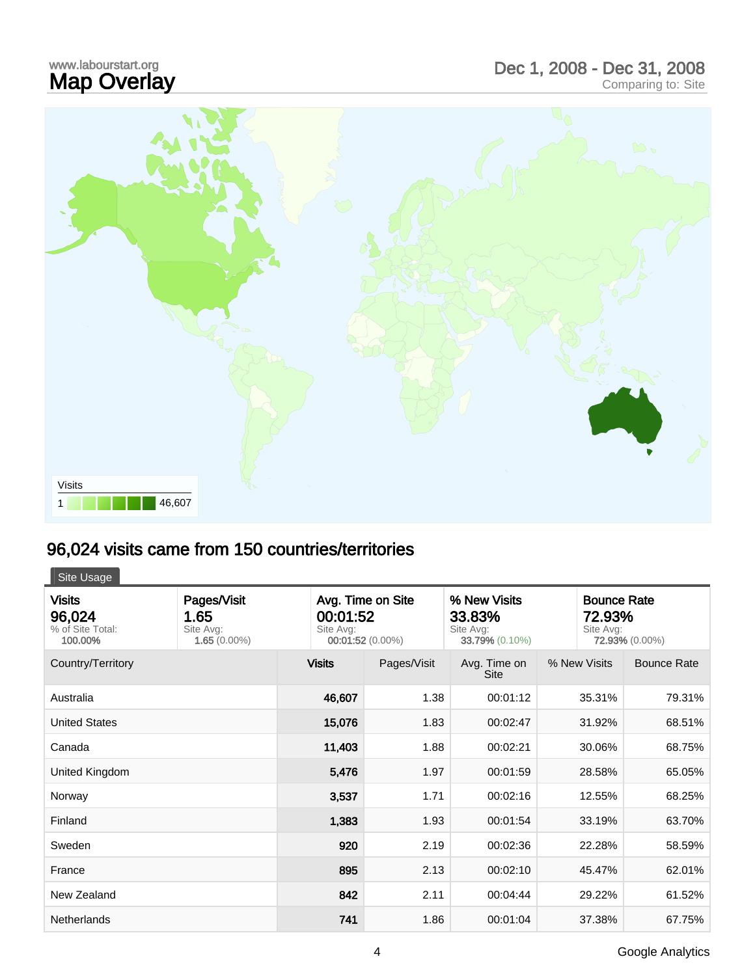## www.labourstart.org<br>**Map Overlay** www.labourstart.org<br> **Map Overlay** Comparing to: Site<br>
Comparing to: Site



# 96,024 visits came from 150 countries/territories

Site Usage

| <b>Visits</b><br>96,024<br>% of Site Total:<br>100.00% | Pages/Visit<br>1.65<br>Site Avg:<br>$1.65(0.00\%)$ | Avg. Time on Site<br>00:01:52<br>Site Avg:<br>00:01:52 (0.00%) |             | % New Visits<br>33.83%<br>Site Avg:<br>33.79% (0.10%) | Site Avg:    | <b>Bounce Rate</b><br>72.93%<br>72.93% (0.00%) |  |
|--------------------------------------------------------|----------------------------------------------------|----------------------------------------------------------------|-------------|-------------------------------------------------------|--------------|------------------------------------------------|--|
| Country/Territory                                      |                                                    | <b>Visits</b>                                                  | Pages/Visit | Avg. Time on<br><b>Site</b>                           | % New Visits | <b>Bounce Rate</b>                             |  |
| Australia                                              |                                                    | 46,607                                                         | 1.38        | 00:01:12                                              | 35.31%       | 79.31%                                         |  |
| <b>United States</b>                                   |                                                    | 15,076                                                         | 1.83        | 00:02:47                                              | 31.92%       | 68.51%                                         |  |
| Canada                                                 |                                                    | 11,403                                                         | 1.88        | 00:02:21                                              | 30.06%       | 68.75%                                         |  |
| United Kingdom                                         |                                                    | 5,476                                                          | 1.97        | 00:01:59                                              | 28.58%       | 65.05%                                         |  |
| Norway                                                 |                                                    | 3,537                                                          | 1.71        | 00:02:16                                              | 12.55%       | 68.25%                                         |  |
| Finland                                                |                                                    | 1,383                                                          | 1.93        | 00:01:54                                              | 33.19%       | 63.70%                                         |  |
| Sweden                                                 |                                                    | 920                                                            | 2.19        | 00:02:36                                              | 22.28%       | 58.59%                                         |  |
| France                                                 |                                                    | 895                                                            | 2.13        | 00:02:10                                              | 45.47%       | 62.01%                                         |  |
| New Zealand                                            |                                                    | 842                                                            | 2.11        | 00:04:44                                              | 29.22%       | 61.52%                                         |  |
| <b>Netherlands</b>                                     |                                                    | 741                                                            | 1.86        | 00:01:04                                              | 37.38%       | 67.75%                                         |  |